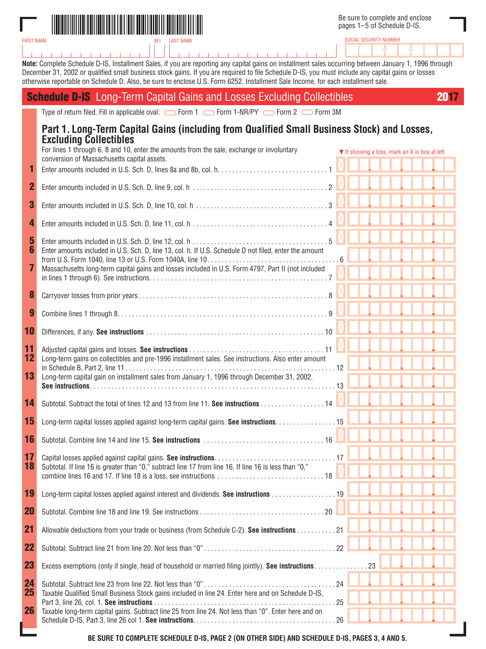

FIRST NAME

SOCIAL SECURITY NUMBER

**Note:** Complete Schedule D-IS, Installment Sales, if you are reporting any capital gains on installment sales occurring between January 1, 1996 through December 31, 2002 or qualified small business stock gains. If you are required to file Schedule D-IS, you must include any capital gains or losses otherwise reportable on Schedule D. Also, be sure to enclose U.S. Form 6252, Installment Sale Income, for each installment sale.

-1

|                       | <b>Schedule D-IS</b> Long-Term Capital Gains and Losses Excluding Collectibles                                                                                                                               |  |                                                                  |  | 2017 |
|-----------------------|--------------------------------------------------------------------------------------------------------------------------------------------------------------------------------------------------------------|--|------------------------------------------------------------------|--|------|
|                       | Type of return filed. Fill in applicable oval: $\bigcirc$ Form 1 $\bigcirc$ Form 1-NR/PY $\bigcirc$ Form 2 $\bigcirc$ Form 3M                                                                                |  |                                                                  |  |      |
|                       | Part 1. Long-Term Capital Gains (including from Qualified Small Business Stock) and Losses,<br><b>Excluding Collectibles</b>                                                                                 |  |                                                                  |  |      |
|                       | For lines 1 through 6, 8 and 10, enter the amounts from the sale, exchange or involuntary<br>conversion of Massachusetts capital assets.                                                                     |  | $\blacktriangledown$ If showing a loss, mark an X in box at left |  |      |
| 1                     |                                                                                                                                                                                                              |  |                                                                  |  |      |
| $\mathbf{2}$          |                                                                                                                                                                                                              |  |                                                                  |  |      |
| 3                     |                                                                                                                                                                                                              |  |                                                                  |  |      |
| 4                     |                                                                                                                                                                                                              |  |                                                                  |  |      |
| 5<br>6<br>7           | Enter amounts included in U.S. Sch. D. line 13, col. h. If U.S. Schedule D not filed, enter the amount<br>Massachusetts long-term capital gains and losses included in U.S. Form 4797, Part II (not included |  |                                                                  |  |      |
|                       |                                                                                                                                                                                                              |  |                                                                  |  |      |
| 8                     |                                                                                                                                                                                                              |  |                                                                  |  |      |
| $\boldsymbol{9}$      |                                                                                                                                                                                                              |  |                                                                  |  |      |
| 10                    |                                                                                                                                                                                                              |  |                                                                  |  |      |
| 11<br>12              | Long-term gains on collectibles and pre-1996 installment sales. See instructions. Also enter amount                                                                                                          |  |                                                                  |  |      |
| 13                    | Long-term capital gain on installment sales from January 1, 1996 through December 31, 2002.                                                                                                                  |  |                                                                  |  |      |
| 14                    | Subtotal. Subtract the total of lines 12 and 13 from line 11. See instructions 14                                                                                                                            |  |                                                                  |  |      |
| 15                    | Long-term capital losses applied against long-term capital gains. See instructions. 15                                                                                                                       |  |                                                                  |  |      |
| 16                    |                                                                                                                                                                                                              |  |                                                                  |  |      |
| 17 <sub>2</sub><br>18 | Subtotal. If line 16 is greater than "0," subtract line 17 from line 16. If line 16 is less than "0,"                                                                                                        |  |                                                                  |  |      |
| 19                    |                                                                                                                                                                                                              |  |                                                                  |  |      |
| <b>20</b>             |                                                                                                                                                                                                              |  |                                                                  |  |      |
| 21                    | Allowable deductions from your trade or business (from Schedule C-2). See instructions 21                                                                                                                    |  |                                                                  |  |      |
| 22                    |                                                                                                                                                                                                              |  |                                                                  |  |      |
| 23                    | Excess exemptions (only if single, head of household or married filing jointly). See instructions23                                                                                                          |  |                                                                  |  |      |
| 24<br>25              | Taxable Qualified Small Business Stock gains included in line 24. Enter here and on Schedule D-IS,                                                                                                           |  |                                                                  |  |      |
| 26                    | Taxable long-term capital gains. Subtract line 25 from line 24. Not less than "0". Enter here and on                                                                                                         |  |                                                                  |  |      |

**BE SURE TO COMPLETE SCHEDULE D-IS, PAGE 2 (ON OTHER SIDE) AND SCHEDULE D-IS, PAGES 3, 4 AND 5.**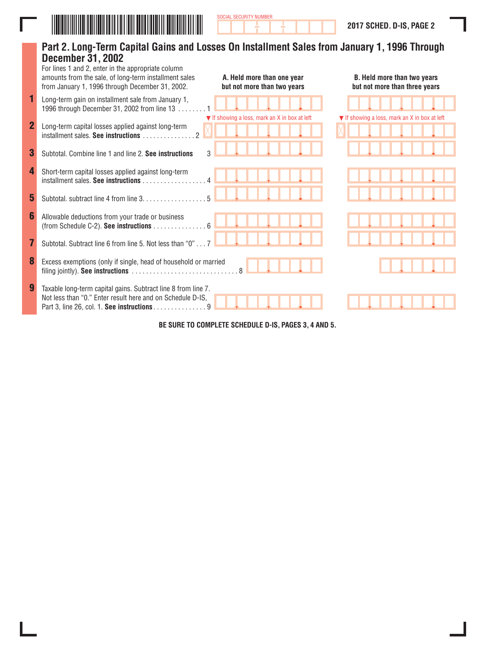

Ī

|                | Part 2. Long-Term Capital Gains and Losses On Installment Sales from January 1, 1996 Through<br><b>December 31, 2002</b><br>For lines 1 and 2, enter in the appropriate column<br>amounts from the sale, of long-term installment sales<br>from January 1, 1996 through December 31, 2002. | A. Held more than one year<br>but not more than two years        | <b>B. Held more than two years</b><br>but not more than three years |  |  |  |  |  |  |  |  |
|----------------|--------------------------------------------------------------------------------------------------------------------------------------------------------------------------------------------------------------------------------------------------------------------------------------------|------------------------------------------------------------------|---------------------------------------------------------------------|--|--|--|--|--|--|--|--|
|                | Long-term gain on installment sale from January 1,<br>1996 through December 31, 2002 from line 13                                                                                                                                                                                          |                                                                  |                                                                     |  |  |  |  |  |  |  |  |
| $\overline{2}$ | Long-term capital losses applied against long-term                                                                                                                                                                                                                                         | $\blacktriangledown$ If showing a loss, mark an X in box at left | $\blacktriangledown$ If showing a loss, mark an X in box at left    |  |  |  |  |  |  |  |  |
| 3              | 3<br>Subtotal, Combine line 1 and line 2. See instructions                                                                                                                                                                                                                                 |                                                                  |                                                                     |  |  |  |  |  |  |  |  |
| 4              | Short-term capital losses applied against long-term<br>installment sales. See instructions                                                                                                                                                                                                 |                                                                  |                                                                     |  |  |  |  |  |  |  |  |
| 5              | 5<br>Subtotal. subtract line 4 from line 3.                                                                                                                                                                                                                                                |                                                                  |                                                                     |  |  |  |  |  |  |  |  |
| 6              | Allowable deductions from your trade or business<br>(from Schedule C-2). See instructions $\dots\dots\dots\dots\dots\dots$                                                                                                                                                                 |                                                                  |                                                                     |  |  |  |  |  |  |  |  |
| 7              | Subtotal. Subtract line 6 from line 5. Not less than "0" 7                                                                                                                                                                                                                                 |                                                                  |                                                                     |  |  |  |  |  |  |  |  |
| 8              | Excess exemptions (only if single, head of household or married                                                                                                                                                                                                                            |                                                                  |                                                                     |  |  |  |  |  |  |  |  |
| 9              | Taxable long-term capital gains. Subtract line 8 from line 7.<br>Not less than "0." Enter result here and on Schedule D-IS,<br>Part 3, line 26, col. 1. See instructions 9                                                                                                                 |                                                                  |                                                                     |  |  |  |  |  |  |  |  |
|                | BE AUBE TO ACHIBI ETE CAUFBUL                                                                                                                                                                                                                                                              |                                                                  |                                                                     |  |  |  |  |  |  |  |  |

SOCIAL SECURITY NUMBER

**BE SURE TO COMPLETE SCHEDULE D-IS, PAGES 3, 4 AND 5.**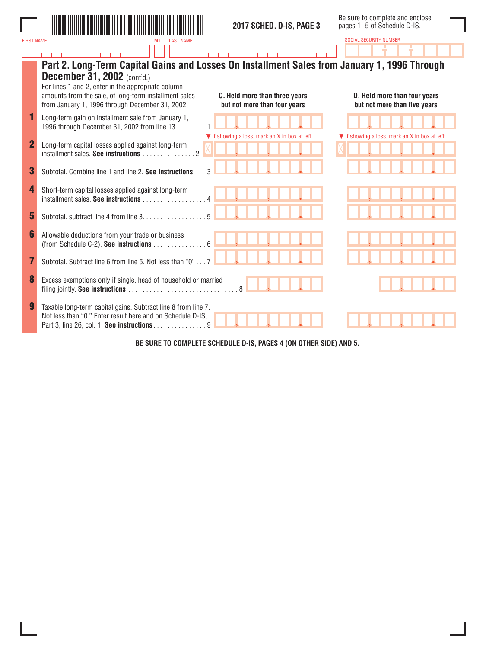

SOCIAL SECURITY NUMBER

Í.

|                | Part 2. Long-Term Capital Gains and Losses On Installment Sales from January 1, 1996 Through<br><b>December 31, 2002</b> (cont'd.)                                                                                              |                                                              |
|----------------|---------------------------------------------------------------------------------------------------------------------------------------------------------------------------------------------------------------------------------|--------------------------------------------------------------|
|                | For lines 1 and 2, enter in the appropriate column<br>amounts from the sale, of long-term installment sales<br>C. Held more than three years<br>from January 1, 1996 through December 31, 2002.<br>but not more than four years | D. Held more than four years<br>but not more than five years |
|                | Long-term gain on installment sale from January 1,<br>1996 through December 31, 2002 from line 13                                                                                                                               |                                                              |
| $\overline{2}$ | ▼ If showing a loss, mark an X in box at left<br>Long-term capital losses applied against long-term<br>installment sales. See instructions                                                                                      | ▼ If showing a loss, mark an X in box at left                |
| 3              | Subtotal. Combine line 1 and line 2. See instructions                                                                                                                                                                           |                                                              |
| 4              | Short-term capital losses applied against long-term<br>installment sales. See instructions                                                                                                                                      |                                                              |
| 5              | Subtotal. subtract line 4 from line 3.                                                                                                                                                                                          |                                                              |
| 6              | Allowable deductions from your trade or business<br>(from Schedule C-2). See instructions 6                                                                                                                                     |                                                              |
|                | Subtotal. Subtract line 6 from line 5. Not less than "0" 7                                                                                                                                                                      |                                                              |
| 8              | Excess exemptions only if single, head of household or married<br>$\overline{8}$                                                                                                                                                |                                                              |
|                | Taxable long-term capital gains. Subtract line 8 from line 7.<br>Not less than "0." Enter result here and on Schedule D-IS,<br>Part 3, line 26, col. 1. See instructions 9                                                      |                                                              |

**BE SURE TO COMPLETE SCHEDULE D-IS, PAGES 4 (ON OTHER SIDE) AND 5.**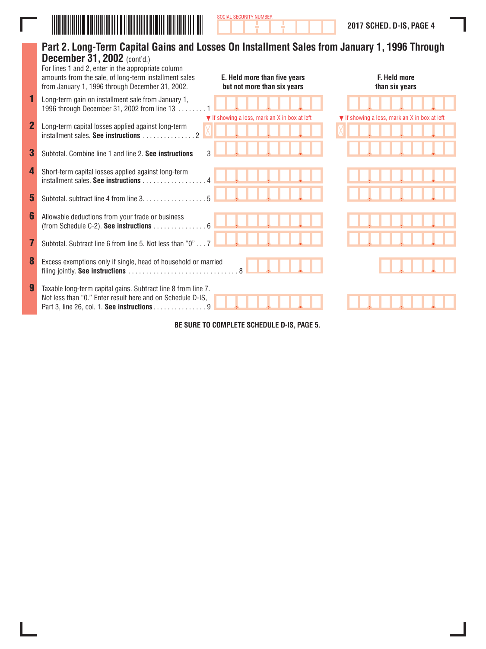

|                | Part 2. Long-Term Capital Gains and Losses On Installment Sales from January 1, 1996 Through<br><b>December 31, 2002</b> (cont'd.)<br>For lines 1 and 2, enter in the appropriate column<br>amounts from the sale, of long-term installment sales<br>from January 1, 1996 through December 31, 2002. | E. Held more than five years<br>but not more than six years | F. Held more<br>than six years                |
|----------------|------------------------------------------------------------------------------------------------------------------------------------------------------------------------------------------------------------------------------------------------------------------------------------------------------|-------------------------------------------------------------|-----------------------------------------------|
|                | Long-term gain on installment sale from January 1,<br>1996 through December 31, 2002 from line 13                                                                                                                                                                                                    |                                                             |                                               |
| $\overline{2}$ | Long-term capital losses applied against long-term                                                                                                                                                                                                                                                   | ▼ If showing a loss, mark an X in box at left               | ▼ If showing a loss, mark an X in box at left |
| 3              | Subtotal, Combine line 1 and line 2. See instructions                                                                                                                                                                                                                                                | 3                                                           |                                               |
| 4              | Short-term capital losses applied against long-term<br>installment sales. See instructions                                                                                                                                                                                                           |                                                             |                                               |
| 5              | Subtotal, subtract line 4 from line 3.                                                                                                                                                                                                                                                               |                                                             |                                               |
| 6              | Allowable deductions from your trade or business<br>(from Schedule C-2). See instructions 6                                                                                                                                                                                                          |                                                             |                                               |
| 7              | Subtotal. Subtract line 6 from line 5. Not less than "0"                                                                                                                                                                                                                                             |                                                             |                                               |
| 8              | Excess exemptions only if single, head of household or married                                                                                                                                                                                                                                       |                                                             |                                               |
|                | Taxable long-term capital gains. Subtract line 8 from line 7.<br>Not less than "0." Enter result here and on Schedule D-IS,<br>Part 3, line 26, col. 1. See instructions 9                                                                                                                           |                                                             |                                               |

SOCIAL SECURITY NUMBER

**BE SURE TO COMPLETE SCHEDULE D-IS, PAGE 5.**